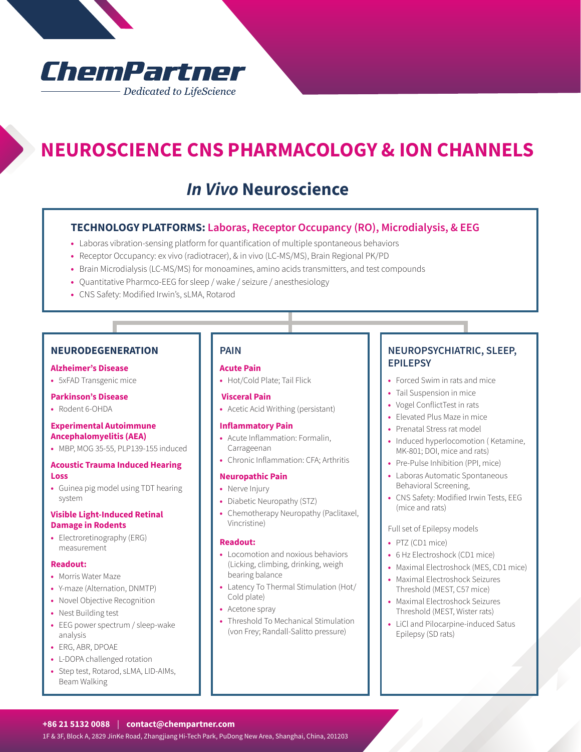# ChemPartner - Dedicated to LifeScience

# **NEUROSCIENCE CNS PHARMACOLOGY & ION CHANNELS**

## *In Vivo* **Neuroscience**

### **TECHNOLOGY PLATFORMS: Laboras, Receptor Occupancy (RO), Microdialysis, & EEG**

- **•** Laboras vibration-sensing platform for quantification of multiple spontaneous behaviors
- **•** Receptor Occupancy: ex vivo (radiotracer), & in vivo (LC-MS/MS), Brain Regional PK/PD
- **•** Brain Microdialysis (LC-MS/MS) for monoamines, amino acids transmitters, and test compounds
- **•** Quantitative Pharmco-EEG for sleep / wake / seizure / anesthesiology
- **•** CNS Safety: Modified Irwin's, sLMA, Rotarod

### **NEURODEGENERATION**

#### **Alzheimer's Disease**

**•** 5xFAD Transgenic mice

#### **Parkinson's Disease**

**•** Rodent 6-OHDA

#### **Experimental Autoimmune Ancephalomyelitis (AEA)**

**•** MBP, MOG 35-55, PLP139-155 induced

#### **Acoustic Trauma Induced Hearing Loss**

**•** Guinea pig model using TDT hearing system

#### **Visible Light-Induced Retinal Damage in Rodents**

**•** Electroretinography (ERG) measurement

#### **Readout:**

- **•** Morris Water Maze
- **•** Y-maze (Alternation, DNMTP)
- **•** Novel Objective Recognition
- **•** Nest Building test
- **•** EEG power spectrum / sleep-wake analysis
- **•** ERG, ABR, DPOAE
- **•** L-DOPA challenged rotation
- **•** Step test, Rotarod, sLMA, LID-AIMs, Beam Walking

#### **PAIN**

#### **Acute Pain**

**•** Hot/Cold Plate; Tail Flick

#### **Visceral Pain**

**•** Acetic Acid Writhing (persistant)

#### **Inflammatory Pain**

- **•** Acute Inflammation: Formalin, Carrageenan
- **•** Chronic Inflammation: CFA; Arthritis

#### **Neuropathic Pain**

- **•** Nerve Injury
- **•** Diabetic Neuropathy (STZ)
- **•** Chemotherapy Neuropathy (Paclitaxel, Vincristine)

#### **Readout:**

- **•** Locomotion and noxious behaviors (Licking, climbing, drinking, weigh bearing balance
- **•** Latency To Thermal Stimulation (Hot/ Cold plate)
- **•** Acetone spray
- **•** Threshold To Mechanical Stimulation (von Frey; Randall-Salitto pressure)

## **NEUROPSYCHIATRIC, SLEEP, EPILEPSY**

- **•** Forced Swim in rats and mice
- **•** Tail Suspension in mice
- **•** Vogel ConflictTest in rats
- **•** Elevated Plus Maze in mice
- **•** Prenatal Stress rat model
- **•** Induced hyperlocomotion ( Ketamine, MK-801; DOI, mice and rats)
- **•** Pre-Pulse Inhibition (PPI, mice)
- **•** Laboras Automatic Spontaneous Behavioral Screening,
- **•** CNS Safety: Modified Irwin Tests, EEG (mice and rats)

#### Full set of Epilepsy models

- **•** PTZ (CD1 mice)
- **•** 6 Hz Electroshock (CD1 mice)
- **•** Maximal Electroshock (MES, CD1 mice)
- **•** Maximal Electroshock Seizures Threshold (MEST, C57 mice)
- **•** Maximal Electroshock Seizures Threshold (MEST, Wister rats)
- **•** LiCl and Pilocarpine-induced Satus Epilepsy (SD rats)